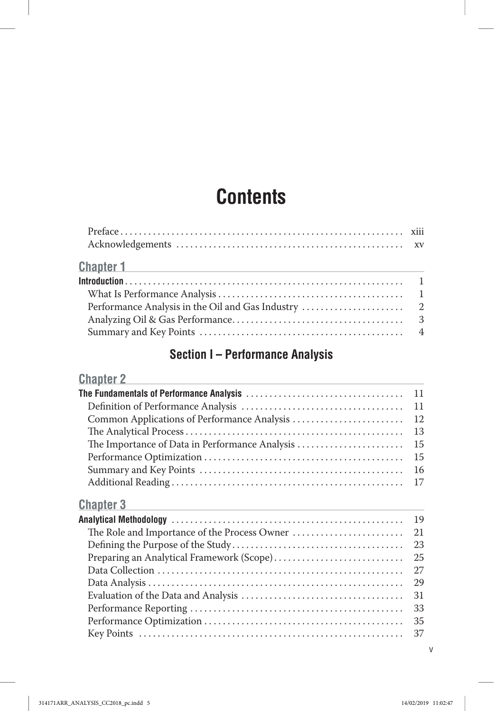# **Contents**

| <b>Chapter 1</b> and the contract of the contract of the contract of the contract of the contract of the contract of the contract of the contract of the contract of the contract of the contract of the contract of the contract o |  |
|-------------------------------------------------------------------------------------------------------------------------------------------------------------------------------------------------------------------------------------|--|
|                                                                                                                                                                                                                                     |  |
|                                                                                                                                                                                                                                     |  |
|                                                                                                                                                                                                                                     |  |
|                                                                                                                                                                                                                                     |  |
|                                                                                                                                                                                                                                     |  |

# **Section I – Performance Analysis**

## **Chapter 2**

|                                                | 11 |
|------------------------------------------------|----|
|                                                | 11 |
|                                                | 12 |
|                                                | 13 |
| The Importance of Data in Performance Analysis | 15 |
|                                                | 15 |
|                                                | 16 |
|                                                | 17 |
| <b>Chapter 3</b>                               |    |
|                                                | 19 |
|                                                | 21 |
|                                                | 23 |
| Preparing an Analytical Framework (Scope)      | 25 |
|                                                | 27 |
|                                                | 29 |
|                                                | 31 |
|                                                | 33 |
|                                                | 35 |
|                                                | 37 |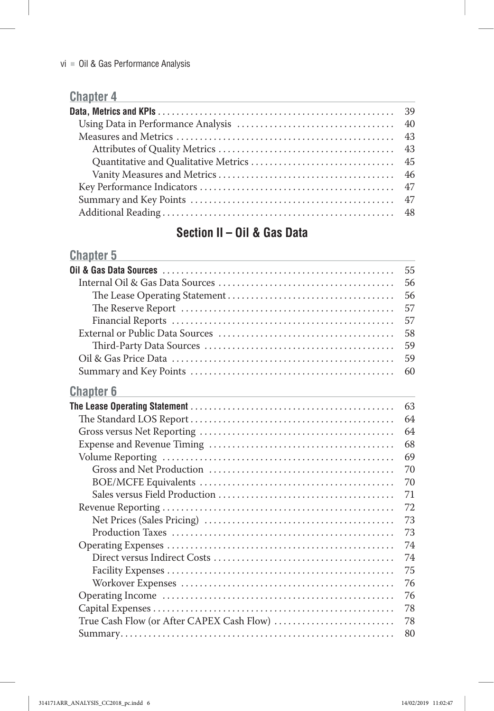## **Chapter 4 Chapter 4 Chapter 4 Chapter 4 Chapter 4 Chapter 4 Chapter 4 Chapter 4 Const**

# **Section II – Oil & Gas Data**

## **Chapter 5**

|                                           | 55 |
|-------------------------------------------|----|
|                                           | 56 |
|                                           | 56 |
|                                           | 57 |
|                                           | 57 |
|                                           | 58 |
|                                           | 59 |
|                                           | 59 |
|                                           | 60 |
| <b>Chapter 6</b>                          |    |
|                                           | 63 |
|                                           | 64 |
|                                           | 64 |
|                                           | 68 |
|                                           | 69 |
|                                           | 70 |
|                                           | 70 |
|                                           | 71 |
|                                           | 72 |
|                                           | 73 |
|                                           | 73 |
|                                           | 74 |
|                                           | 74 |
|                                           | 75 |
|                                           | 76 |
|                                           | 76 |
|                                           | 78 |
| True Cash Flow (or After CAPEX Cash Flow) | 78 |
|                                           | 80 |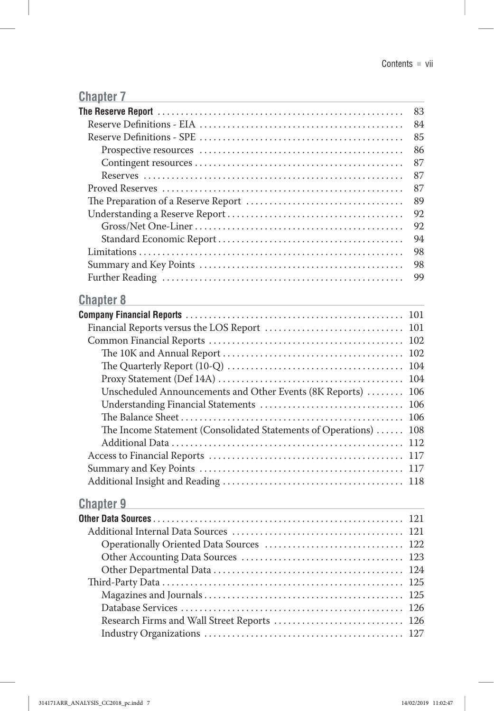## **Chapter 7**

|                                                                                           | 83  |
|-------------------------------------------------------------------------------------------|-----|
|                                                                                           | 84  |
|                                                                                           | 85  |
|                                                                                           | 86  |
|                                                                                           | 87  |
|                                                                                           | 87  |
|                                                                                           | 87  |
|                                                                                           | 89  |
|                                                                                           | 92  |
|                                                                                           | 92  |
|                                                                                           | 94  |
|                                                                                           | 98  |
|                                                                                           | 98  |
|                                                                                           | 99  |
| <b>Chapter 8</b>                                                                          |     |
|                                                                                           | 101 |
|                                                                                           |     |
|                                                                                           | 102 |
|                                                                                           | 102 |
|                                                                                           | 104 |
|                                                                                           | 104 |
| Unscheduled Announcements and Other Events (8K Reports)                                   | 106 |
| Understanding Financial Statements                                                        | 106 |
|                                                                                           | 106 |
| The Income Statement (Consolidated Statements of Operations)                              | 108 |
|                                                                                           | 112 |
|                                                                                           | 117 |
|                                                                                           | 117 |
|                                                                                           |     |
| <b>Chapter 9</b>                                                                          |     |
| the control of the control of the control of the control of the control of the control of |     |
|                                                                                           |     |
|                                                                                           |     |
|                                                                                           |     |
|                                                                                           |     |
|                                                                                           |     |
|                                                                                           |     |
|                                                                                           |     |
|                                                                                           |     |

Research Firms and Wall Street Reports . . . . . . . . . . . . . . . . . . . . . . . . . . . . 126 Industry Organizations . . . . . . . . . . . . . . . . . . . . . . . . . . . . . . . . . . . . . . . . . . . 127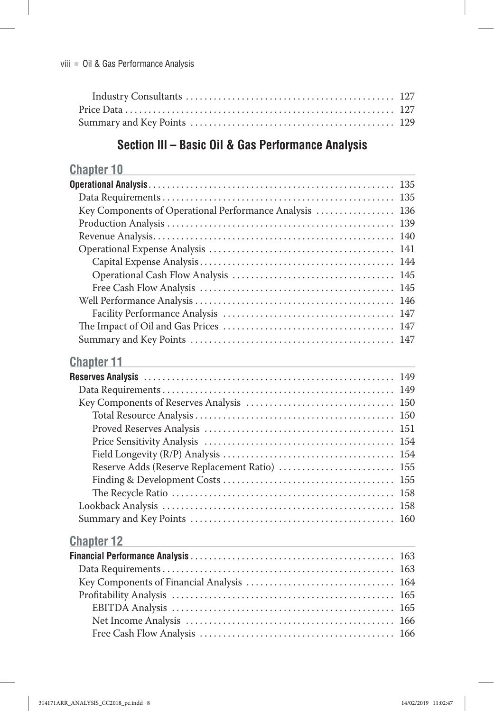# **Section III – Basic Oil & Gas Performance Analysis**

| <b>Chapter 10</b>                                  |     |
|----------------------------------------------------|-----|
|                                                    |     |
|                                                    |     |
| Key Components of Operational Performance Analysis | 136 |
|                                                    | 139 |
|                                                    | 140 |
|                                                    | 141 |
|                                                    |     |
|                                                    | 145 |
|                                                    | 145 |
|                                                    |     |
|                                                    |     |
|                                                    |     |
|                                                    | 147 |
| <b>Chapter 11</b>                                  |     |
|                                                    |     |
|                                                    |     |
|                                                    |     |
|                                                    | 150 |
|                                                    | 151 |
|                                                    |     |
|                                                    |     |
| Reserve Adds (Reserve Replacement Ratio)           | 155 |
|                                                    | 155 |
|                                                    | 158 |
|                                                    | 158 |
|                                                    | 160 |
| <b>Chapter 12</b>                                  |     |
|                                                    |     |
|                                                    |     |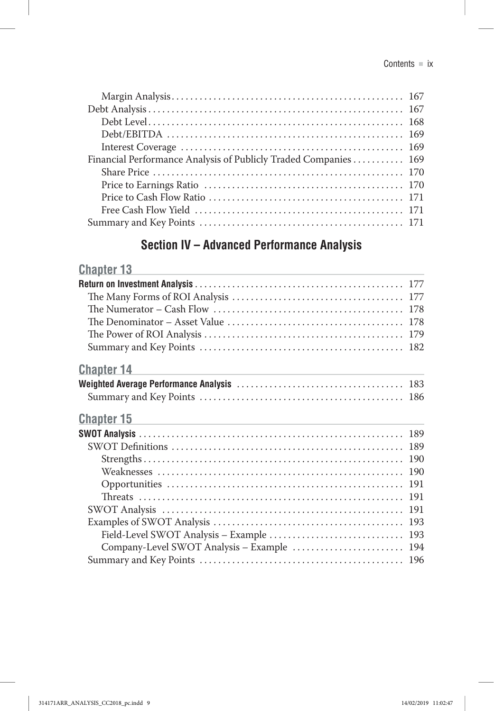| Financial Performance Analysis of Publicly Traded Companies 169 |  |
|-----------------------------------------------------------------|--|
|                                                                 |  |
|                                                                 |  |
|                                                                 |  |
|                                                                 |  |
|                                                                 |  |
|                                                                 |  |

# **Section IV – Advanced Performance Analysis**

# **Chapter 13 Chapter 13**

| <b>Chapter 14</b>                                                                                                                         |  |
|-------------------------------------------------------------------------------------------------------------------------------------------|--|
|                                                                                                                                           |  |
|                                                                                                                                           |  |
| <b>Chapter 15</b><br><u> 1989 - Johann Stein, marwolaethau a bhann an t-Amhair ann an t-Amhair an t-Amhair an t-Amhair an t-Amhair an</u> |  |
|                                                                                                                                           |  |
|                                                                                                                                           |  |
|                                                                                                                                           |  |
|                                                                                                                                           |  |
|                                                                                                                                           |  |
|                                                                                                                                           |  |
|                                                                                                                                           |  |
|                                                                                                                                           |  |
|                                                                                                                                           |  |
| Company-Level SWOT Analysis - Example  194                                                                                                |  |
|                                                                                                                                           |  |
|                                                                                                                                           |  |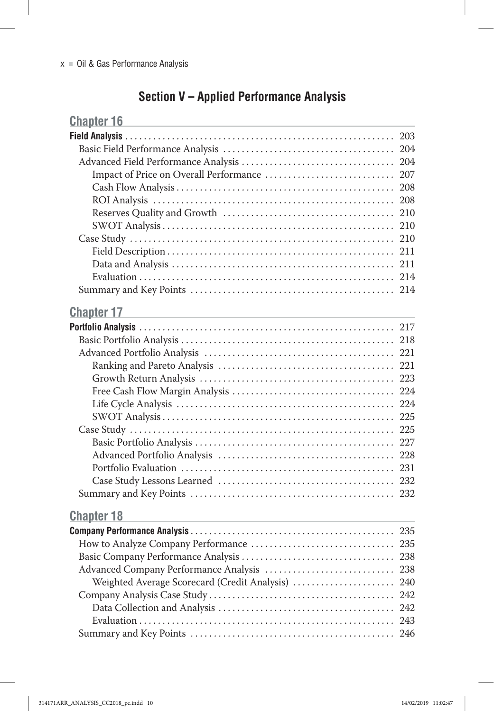# **Section V – Applied Performance Analysis**

| <b>Chapter 16</b>                                                                                                                                                                                                             |     |
|-------------------------------------------------------------------------------------------------------------------------------------------------------------------------------------------------------------------------------|-----|
|                                                                                                                                                                                                                               | 203 |
|                                                                                                                                                                                                                               | 204 |
|                                                                                                                                                                                                                               |     |
|                                                                                                                                                                                                                               | 207 |
|                                                                                                                                                                                                                               | 208 |
|                                                                                                                                                                                                                               | 208 |
|                                                                                                                                                                                                                               | 210 |
|                                                                                                                                                                                                                               | 210 |
|                                                                                                                                                                                                                               | 210 |
|                                                                                                                                                                                                                               | 211 |
|                                                                                                                                                                                                                               | 211 |
|                                                                                                                                                                                                                               |     |
|                                                                                                                                                                                                                               |     |
| <b>Chapter 17</b>                                                                                                                                                                                                             |     |
| the control of the control of the control of the control of the control of the control of the control of the control of the control of the control of the control of the control of the control of the control of the control |     |
|                                                                                                                                                                                                                               | 218 |
|                                                                                                                                                                                                                               |     |
|                                                                                                                                                                                                                               |     |
|                                                                                                                                                                                                                               |     |
|                                                                                                                                                                                                                               |     |
|                                                                                                                                                                                                                               |     |
|                                                                                                                                                                                                                               |     |
|                                                                                                                                                                                                                               |     |
|                                                                                                                                                                                                                               |     |
|                                                                                                                                                                                                                               |     |
|                                                                                                                                                                                                                               |     |
|                                                                                                                                                                                                                               |     |
|                                                                                                                                                                                                                               |     |
|                                                                                                                                                                                                                               |     |
| <b>Chapter 18</b>                                                                                                                                                                                                             |     |
|                                                                                                                                                                                                                               |     |
|                                                                                                                                                                                                                               |     |
|                                                                                                                                                                                                                               |     |
| Advanced Company Performance Analysis                                                                                                                                                                                         | 238 |
| Weighted Average Scorecard (Credit Analysis)                                                                                                                                                                                  | 240 |
|                                                                                                                                                                                                                               | 242 |
|                                                                                                                                                                                                                               | 242 |
|                                                                                                                                                                                                                               | 243 |
|                                                                                                                                                                                                                               |     |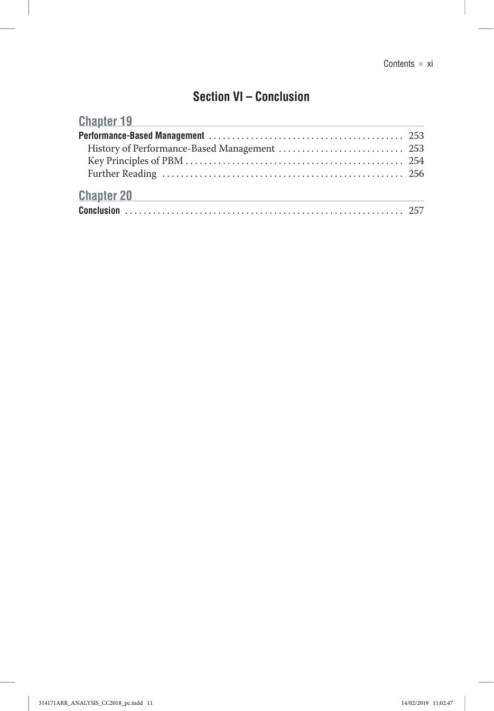## **Section VI – Conclusion**

| <b>Chapter 19</b><br><u> 1989 - Johann Stein, marwolaethau a bhann an t-Amhair an t-Amhair an t-Amhair an t-Amhair an t-Amhair an t-A</u> |  |
|-------------------------------------------------------------------------------------------------------------------------------------------|--|
|                                                                                                                                           |  |
|                                                                                                                                           |  |
|                                                                                                                                           |  |
|                                                                                                                                           |  |
| <b>Chapter 20</b><br>the control of the control of the control of the control of the control of                                           |  |
|                                                                                                                                           |  |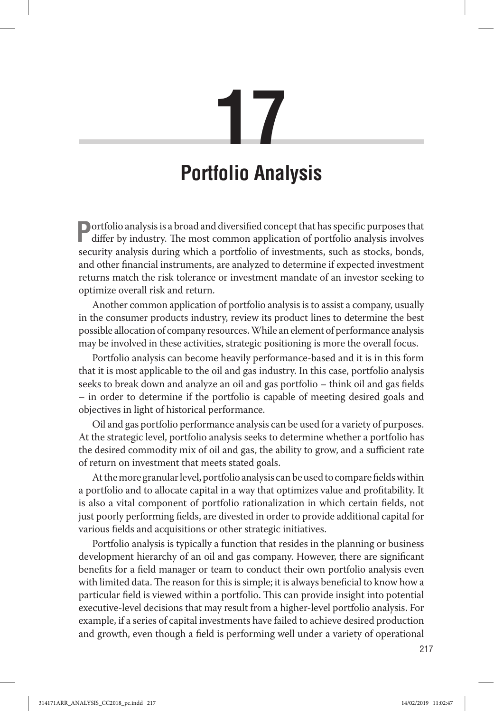# **17**

# **Portfolio Analysis**

**Portfolio analysis is a broad and diversified concept that has specific purposes that** differ by industry. The most common application of portfolio analysis involves security analysis during which a portfolio of investments, such as stocks, bonds, and other financial instruments, are analyzed to determine if expected investment returns match the risk tolerance or investment mandate of an investor seeking to optimize overall risk and return.

Another common application of portfolio analysis is to assist a company, usually in the consumer products industry, review its product lines to determine the best possible allocation of company resources . While an element of performance analysis may be involved in these activities, strategic positioning is more the overall focus .

Portfolio analysis can become heavily performance-based and it is in this form that it is most applicable to the oil and gas industry . In this case, portfolio analysis seeks to break down and analyze an oil and gas portfolio – think oil and gas fields – in order to determine if the portfolio is capable of meeting desired goals and objectives in light of historical performance .

Oil and gas portfolio performance analysis can be used for a variety of purposes . At the strategic level, portfolio analysis seeks to determine whether a portfolio has the desired commodity mix of oil and gas, the ability to grow, and a sufficient rate of return on investment that meets stated goals .

At the more granular level, portfolio analysis can be used to compare fields within a portfolio and to allocate capital in a way that optimizes value and profitability . It is also a vital component of portfolio rationalization in which certain fields, not just poorly performing fields, are divested in order to provide additional capital for various fields and acquisitions or other strategic initiatives .

Portfolio analysis is typically a function that resides in the planning or business development hierarchy of an oil and gas company. However, there are significant benefits for a field manager or team to conduct their own portfolio analysis even with limited data. The reason for this is simple; it is always beneficial to know how a particular field is viewed within a portfolio. This can provide insight into potential executive-level decisions that may result from a higher-level portfolio analysis . For example, if a series of capital investments have failed to achieve desired production and growth, even though a field is performing well under a variety of operational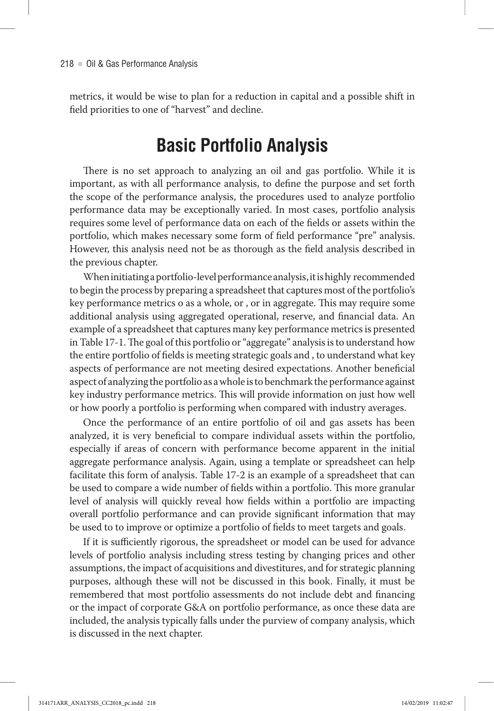metrics, it would be wise to plan for a reduction in capital and a possible shift in field priorities to one of "harvest" and decline.

# **Basic Portfolio Analysis**

There is no set approach to analyzing an oil and gas portfolio. While it is important, as with all performance analysis, to define the purpose and set forth the scope of the performance analysis, the procedures used to analyze portfolio performance data may be exceptionally varied. In most cases, portfolio analysis requires some level of performance data on each of the fields or assets within the portfolio, which makes necessary some form of field performance "pre" analysis . However, this analysis need not be as thorough as the field analysis described in the previous chapter.

When initiating a portfolio-level performance analysis, it is highly recommended to begin the process by preparing a spreadsheet that captures most of the portfolio's key performance metrics o as a whole, or , or in aggregate. This may require some additional analysis using aggregated operational, reserve, and financial data. An example of a spreadsheet that captures many key performance metrics is presented in Table 17-1 . The goal of this portfolio or "aggregate" analysis is to understand how the entire portfolio of fields is meeting strategic goals and , to understand what key aspects of performance are not meeting desired expectations . Another beneficial aspect of analyzing the portfolio as a whole is to benchmark the performance against key industry performance metrics . This will provide information on just how well or how poorly a portfolio is performing when compared with industry averages .

Once the performance of an entire portfolio of oil and gas assets has been analyzed, it is very beneficial to compare individual assets within the portfolio, especially if areas of concern with performance become apparent in the initial aggregate performance analysis. Again, using a template or spreadsheet can help facilitate this form of analysis. Table 17-2 is an example of a spreadsheet that can be used to compare a wide number of fields within a portfolio. This more granular level of analysis will quickly reveal how fields within a portfolio are impacting overall portfolio performance and can provide significant information that may be used to to improve or optimize a portfolio of fields to meet targets and goals .

If it is sufficiently rigorous, the spreadsheet or model can be used for advance levels of portfolio analysis including stress testing by changing prices and other assumptions, the impact of acquisitions and divestitures, and for strategic planning purposes, although these will not be discussed in this book . Finally, it must be remembered that most portfolio assessments do not include debt and financing or the impact of corporate G&A on portfolio performance, as once these data are included, the analysis typically falls under the purview of company analysis, which is discussed in the next chapter.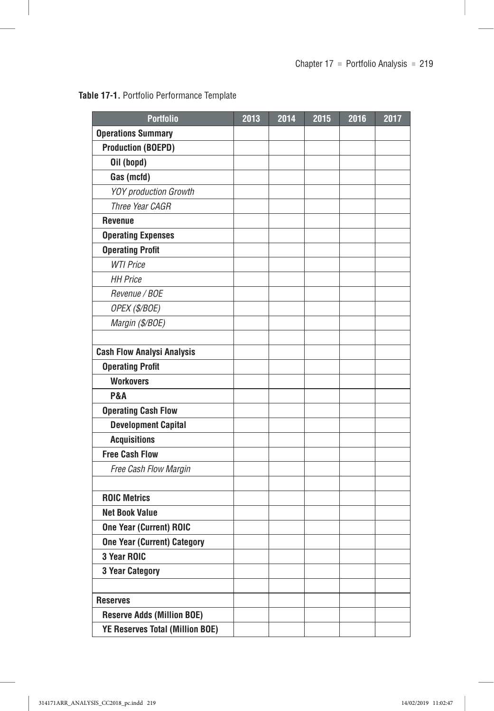#### **Table 17-1.** Portfolio Performance Template

| <b>Portfolio</b>                       | 2013 | 2014 | 2015 | 2016 | 2017 |
|----------------------------------------|------|------|------|------|------|
| <b>Operations Summary</b>              |      |      |      |      |      |
| <b>Production (BOEPD)</b>              |      |      |      |      |      |
| Oil (bopd)                             |      |      |      |      |      |
| Gas (mcfd)                             |      |      |      |      |      |
| YOY production Growth                  |      |      |      |      |      |
| Three Year CAGR                        |      |      |      |      |      |
| <b>Revenue</b>                         |      |      |      |      |      |
| <b>Operating Expenses</b>              |      |      |      |      |      |
| <b>Operating Profit</b>                |      |      |      |      |      |
| <b>WTI Price</b>                       |      |      |      |      |      |
| <b>HH Price</b>                        |      |      |      |      |      |
| Revenue / BOE                          |      |      |      |      |      |
| OPEX (\$/BOE)                          |      |      |      |      |      |
| Margin (\$/BOE)                        |      |      |      |      |      |
|                                        |      |      |      |      |      |
| <b>Cash Flow Analysi Analysis</b>      |      |      |      |      |      |
| <b>Operating Profit</b>                |      |      |      |      |      |
| <b>Workovers</b>                       |      |      |      |      |      |
| <b>P&amp;A</b>                         |      |      |      |      |      |
| <b>Operating Cash Flow</b>             |      |      |      |      |      |
| <b>Development Capital</b>             |      |      |      |      |      |
| <b>Acquisitions</b>                    |      |      |      |      |      |
| <b>Free Cash Flow</b>                  |      |      |      |      |      |
| Free Cash Flow Margin                  |      |      |      |      |      |
|                                        |      |      |      |      |      |
| <b>ROIC Metrics</b>                    |      |      |      |      |      |
| <b>Net Book Value</b>                  |      |      |      |      |      |
| <b>One Year (Current) ROIC</b>         |      |      |      |      |      |
| <b>One Year (Current) Category</b>     |      |      |      |      |      |
| 3 Year ROIC                            |      |      |      |      |      |
| 3 Year Category                        |      |      |      |      |      |
|                                        |      |      |      |      |      |
| <b>Reserves</b>                        |      |      |      |      |      |
| <b>Reserve Adds (Million BOE)</b>      |      |      |      |      |      |
| <b>YE Reserves Total (Million BOE)</b> |      |      |      |      |      |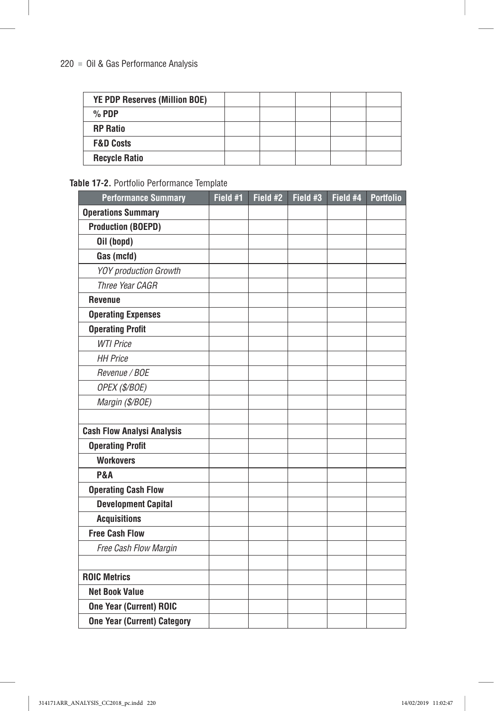| <b>YE PDP Reserves (Million BOE)</b> |  |  |  |
|--------------------------------------|--|--|--|
| $%$ PDP                              |  |  |  |
| <b>RP Ratio</b>                      |  |  |  |
| <b>F&amp;D Costs</b>                 |  |  |  |
| <b>Recycle Ratio</b>                 |  |  |  |

#### **Table 17-2.** Portfolio Performance Template

| <b>Performance Summary</b>         | Field #1 | Field #2 | Field #3 | Field #4 | <b>Portfolio</b> |
|------------------------------------|----------|----------|----------|----------|------------------|
| <b>Operations Summary</b>          |          |          |          |          |                  |
| <b>Production (BOEPD)</b>          |          |          |          |          |                  |
| Oil (bopd)                         |          |          |          |          |                  |
| Gas (mcfd)                         |          |          |          |          |                  |
| <b>YOY</b> production Growth       |          |          |          |          |                  |
| Three Year CAGR                    |          |          |          |          |                  |
| <b>Revenue</b>                     |          |          |          |          |                  |
| <b>Operating Expenses</b>          |          |          |          |          |                  |
| <b>Operating Profit</b>            |          |          |          |          |                  |
| <b>WTI Price</b>                   |          |          |          |          |                  |
| <b>HH Price</b>                    |          |          |          |          |                  |
| Revenue / BOE                      |          |          |          |          |                  |
| OPEX (\$/BOE)                      |          |          |          |          |                  |
| Margin (\$/BOE)                    |          |          |          |          |                  |
|                                    |          |          |          |          |                  |
| <b>Cash Flow Analysi Analysis</b>  |          |          |          |          |                  |
| <b>Operating Profit</b>            |          |          |          |          |                  |
| <b>Workovers</b>                   |          |          |          |          |                  |
| <b>P&amp;A</b>                     |          |          |          |          |                  |
| <b>Operating Cash Flow</b>         |          |          |          |          |                  |
| <b>Development Capital</b>         |          |          |          |          |                  |
| <b>Acquisitions</b>                |          |          |          |          |                  |
| <b>Free Cash Flow</b>              |          |          |          |          |                  |
| Free Cash Flow Margin              |          |          |          |          |                  |
|                                    |          |          |          |          |                  |
| <b>ROIC Metrics</b>                |          |          |          |          |                  |
| <b>Net Book Value</b>              |          |          |          |          |                  |
| <b>One Year (Current) ROIC</b>     |          |          |          |          |                  |
| <b>One Year (Current) Category</b> |          |          |          |          |                  |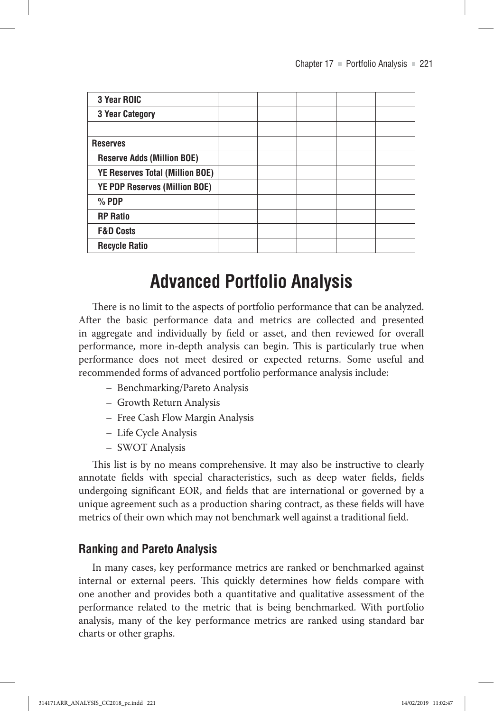| 3 Year ROIC                            |  |  |  |
|----------------------------------------|--|--|--|
| <b>3 Year Category</b>                 |  |  |  |
|                                        |  |  |  |
| <b>Reserves</b>                        |  |  |  |
| <b>Reserve Adds (Million BOE)</b>      |  |  |  |
| <b>YE Reserves Total (Million BOE)</b> |  |  |  |
| YE PDP Reserves (Million BOE)          |  |  |  |
| $%$ PDP                                |  |  |  |
| <b>RP Ratio</b>                        |  |  |  |
| <b>F&amp;D Costs</b>                   |  |  |  |
| <b>Recycle Ratio</b>                   |  |  |  |

# **Advanced Portfolio Analysis**

There is no limit to the aspects of portfolio performance that can be analyzed. After the basic performance data and metrics are collected and presented in aggregate and individually by field or asset, and then reviewed for overall performance, more in-depth analysis can begin. This is particularly true when performance does not meet desired or expected returns . Some useful and recommended forms of advanced portfolio performance analysis include:

- Benchmarking/Pareto Analysis
- Growth Return Analysis
- Free Cash Flow Margin Analysis
- Life Cycle Analysis
- SWOT Analysis

This list is by no means comprehensive . It may also be instructive to clearly annotate fields with special characteristics, such as deep water fields, fields undergoing significant EOR, and fields that are international or governed by a unique agreement such as a production sharing contract, as these fields will have metrics of their own which may not benchmark well against a traditional field.

#### **Ranking and Pareto Analysis**

In many cases, key performance metrics are ranked or benchmarked against internal or external peers. This quickly determines how fields compare with one another and provides both a quantitative and qualitative assessment of the performance related to the metric that is being benchmarked. With portfolio analysis, many of the key performance metrics are ranked using standard bar charts or other graphs .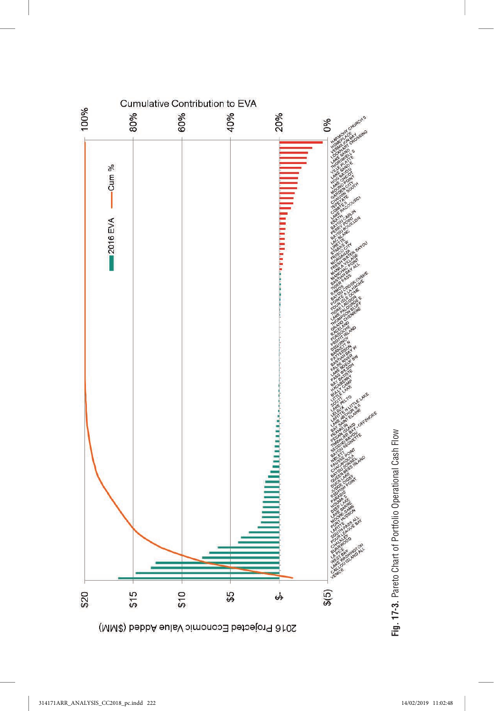

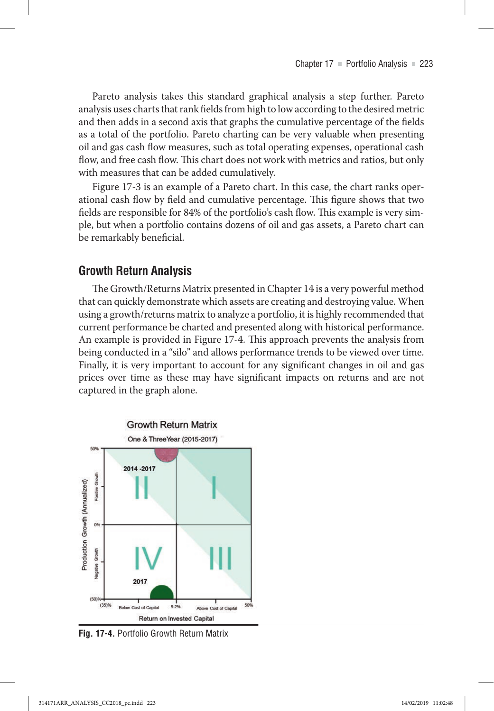Pareto analysis takes this standard graphical analysis a step further. Pareto analysis uses charts that rank fields from high to low according to the desired metric and then adds in a second axis that graphs the cumulative percentage of the fields as a total of the portfolio. Pareto charting can be very valuable when presenting oil and gas cash flow measures, such as total operating expenses, operational cash flow, and free cash flow. This chart does not work with metrics and ratios, but only with measures that can be added cumulatively.

Figure 17-3 is an example of a Pareto chart . In this case, the chart ranks operational cash flow by field and cumulative percentage. This figure shows that two fields are responsible for 84% of the portfolio's cash flow. This example is very simple, but when a portfolio contains dozens of oil and gas assets, a Pareto chart can be remarkably beneficial.

### **Growth Return Analysis**

The Growth/Returns Matrix presented in Chapter 14 is a very powerful method that can quickly demonstrate which assets are creating and destroying value . When using a growth/returns matrix to analyze a portfolio, it is highly recommended that current performance be charted and presented along with historical performance . An example is provided in Figure 17-4. This approach prevents the analysis from being conducted in a "silo" and allows performance trends to be viewed over time. Finally, it is very important to account for any significant changes in oil and gas prices over time as these may have significant impacts on returns and are not captured in the graph alone.



**Fig. 17-4.** Portfolio Growth Return Matrix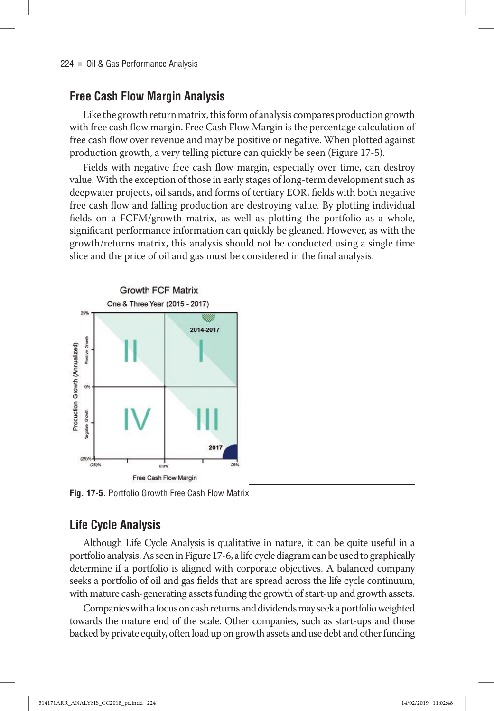### **Free Cash Flow Margin Analysis**

Like the growth return matrix, this form of analysis compares production growth with free cash flow margin. Free Cash Flow Margin is the percentage calculation of free cash flow over revenue and may be positive or negative . When plotted against production growth, a very telling picture can quickly be seen (Figure 17-5) .

Fields with negative free cash flow margin, especially over time, can destroy value. With the exception of those in early stages of long-term development such as deepwater projects, oil sands, and forms of tertiary EOR, fields with both negative free cash flow and falling production are destroying value . By plotting individual fields on a FCFM/growth matrix, as well as plotting the portfolio as a whole, significant performance information can quickly be gleaned. However, as with the growth/returns matrix, this analysis should not be conducted using a single time slice and the price of oil and gas must be considered in the final analysis .



**Fig. 17-5.** Portfolio Growth Free Cash Flow Matrix

## **Life Cycle Analysis**

Although Life Cycle Analysis is qualitative in nature, it can be quite useful in a portfolio analysis . As seen in Figure 17-6, a life cycle diagram can be used to graphically determine if a portfolio is aligned with corporate objectives . A balanced company seeks a portfolio of oil and gas fields that are spread across the life cycle continuum, with mature cash-generating assets funding the growth of start-up and growth assets .

Companies with a focus on cash returns and dividends may seek a portfolio weighted towards the mature end of the scale . Other companies, such as start-ups and those backed by private equity, often load up on growth assets and use debt and other funding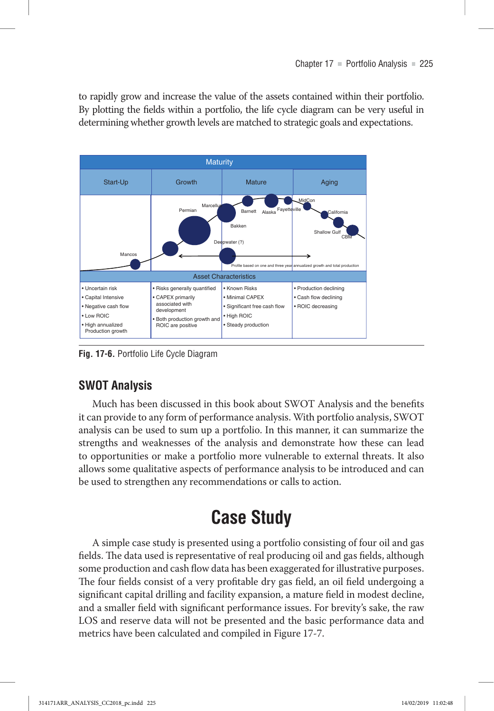to rapidly grow and increase the value of the assets contained within their portfolio. By plotting the fields within a portfolio, the life cycle diagram can be very useful in determining whether growth levels are matched to strategic goals and expectations .



**Fig. 17-6.** Portfolio Life Cycle Diagram

## **SWOT Analysis**

Much has been discussed in this book about SWOT Analysis and the benefits it can provide to any form of performance analysis . With portfolio analysis, SWOT analysis can be used to sum up a portfolio . In this manner, it can summarize the strengths and weaknesses of the analysis and demonstrate how these can lead to opportunities or make a portfolio more vulnerable to external threats . It also allows some qualitative aspects of performance analysis to be introduced and can be used to strengthen any recommendations or calls to action.

# **Case Study**

A simple case study is presented using a portfolio consisting of four oil and gas fields. The data used is representative of real producing oil and gas fields, although some production and cash flow data has been exaggerated for illustrative purposes . The four fields consist of a very profitable dry gas field, an oil field undergoing a significant capital drilling and facility expansion, a mature field in modest decline, and a smaller field with significant performance issues . For brevity's sake, the raw LOS and reserve data will not be presented and the basic performance data and metrics have been calculated and compiled in Figure 17-7 .